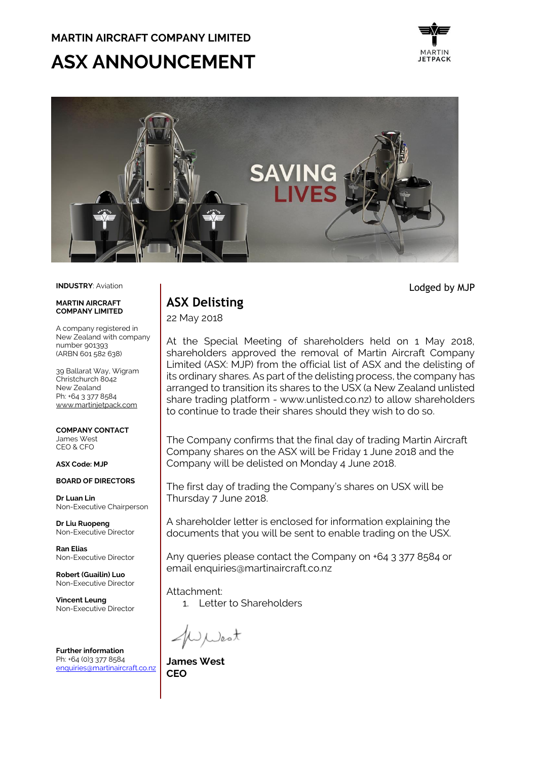### **MARTIN AIRCRAFT COMPANY LIMITED**

# **ASX ANNOUNCEMENT**





**INDUSTRY**: Aviation

#### **MADTIN AIDCDAFT COMPANY LIMITED**

A company registered in New Zealand with company number 901393 (ARBN 601 582 638)

39 Ballarat Way, Wigram Christchurch 8042 New Zealand Ph: +64 3 377 8584 [www.martinjetpack.com](http://www.martinjetpack.com/)

**COMPANY CONTACT** James West CEO & CFO

### **ASX Code: MJP**

**BOARD OF DIRECTORS**

**Dr Luan Lin** Non-Executive Chairperson

**Dr Liu Ruopeng**  Non-Executive Director

**Ran Elias** Non-Executive Director

**Robert (Guailin) Luo** Non-Executive Director

**Vincent Leung** Non-Executive Director

**Further information** Ph: +64 (0)3 377 8584 [enquiries@martinaircraft.co.nz](mailto:enquiries@martinaircraft.co.nz)

## **ASX Delisting**

22 May 2018

At the Special Meeting of shareholders held on 1 May 2018, shareholders approved the removal of Martin Aircraft Company Limited (ASX: MJP) from the official list of ASX and the delisting of its ordinary shares. As part of the delisting process, the company has arranged to transition its shares to the USX (a New Zealand unlisted share trading platform - www.unlisted.co.nz) to allow shareholders to continue to trade their shares should they wish to do so.

The Company confirms that the final day of trading Martin Aircraft Company shares on the ASX will be Friday 1 June 2018 and the Company will be delisted on Monday 4 June 2018.

The first day of trading the Company's shares on USX will be Thursday 7 June 2018.

A shareholder letter is enclosed for information explaining the documents that you will be sent to enable trading on the USX.

Any queries please contact the Company on +64 3 377 8584 or email enquiries@martinaircraft.co.nz

Attachment:

1. Letter to Shareholders

Jest

**James West CEO**

Lodged by MJP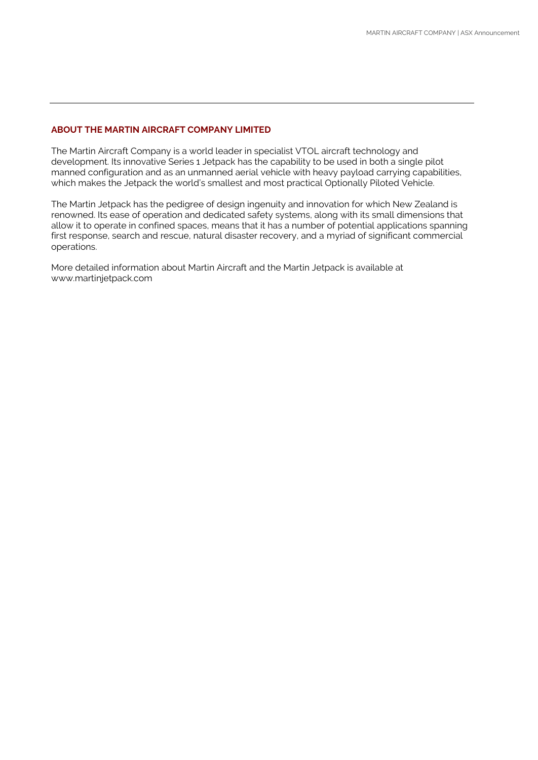### **ABOUT THE MARTIN AIRCRAFT COMPANY LIMITED**

The Martin Aircraft Company is a world leader in specialist VTOL aircraft technology and development. Its innovative Series 1 Jetpack has the capability to be used in both a single pilot manned configuration and as an unmanned aerial vehicle with heavy payload carrying capabilities, which makes the Jetpack the world's smallest and most practical Optionally Piloted Vehicle.

The Martin Jetpack has the pedigree of design ingenuity and innovation for which New Zealand is renowned. Its ease of operation and dedicated safety systems, along with its small dimensions that allow it to operate in confined spaces, means that it has a number of potential applications spanning first response, search and rescue, natural disaster recovery, and a myriad of significant commercial operations.

More detailed information about Martin Aircraft and the Martin Jetpack is available at www.martinjetpack.com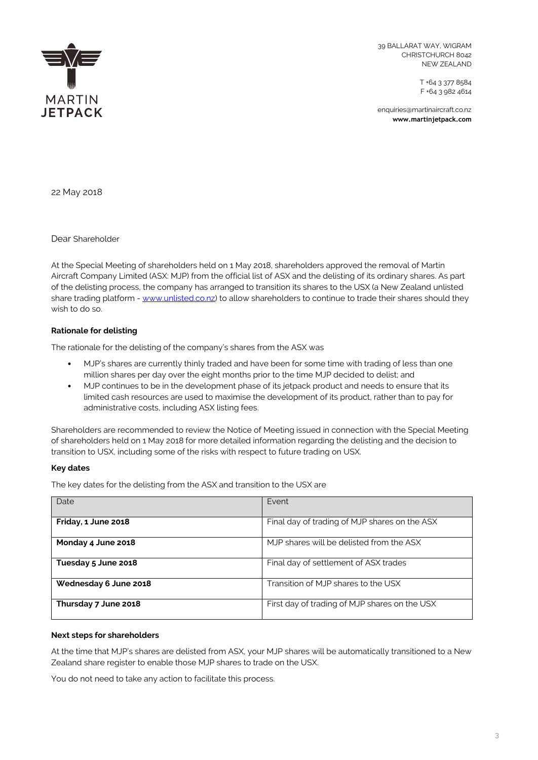

39 BALLARAT WAY, WIGRAM CHRISTCHURCH 8042 NEW ZEALAND

> T +64 3 377 8584 F +64 3 982 4614

enquiries@martinaircraft.co.nz **www.martinjetpack.com**

22 May 2018

Dear Shareholder

At the Special Meeting of shareholders held on 1 May 2018, shareholders approved the removal of Martin Aircraft Company Limited (ASX: MJP) from the official list of ASX and the delisting of its ordinary shares. As part of the delisting process, the company has arranged to transition its shares to the USX (a New Zealand unlisted share trading platform - [www.unlisted.co.nz\)](http://www.unlisted.co.nz/) to allow shareholders to continue to trade their shares should they wish to do so.

### **Rationale for delisting**

The rationale for the delisting of the company's shares from the ASX was

- MJP's shares are currently thinly traded and have been for some time with trading of less than one million shares per day over the eight months prior to the time MJP decided to delist; and
- MJP continues to be in the development phase of its jetpack product and needs to ensure that its limited cash resources are used to maximise the development of its product, rather than to pay for administrative costs, including ASX listing fees.

Shareholders are recommended to review the Notice of Meeting issued in connection with the Special Meeting of shareholders held on 1 May 2018 for more detailed information regarding the delisting and the decision to transition to USX, including some of the risks with respect to future trading on USX.

### **Key dates**

The key dates for the delisting from the ASX and transition to the USX are

| Date                  | Event                                         |
|-----------------------|-----------------------------------------------|
|                       |                                               |
| Friday, 1 June 2018   | Final day of trading of MJP shares on the ASX |
| Monday 4 June 2018    | MJP shares will be delisted from the ASX      |
| Tuesday 5 June 2018   | Final day of settlement of ASX trades         |
| Wednesday 6 June 2018 | Transition of MJP shares to the USX           |
| Thursday 7 June 2018  | First day of trading of MJP shares on the USX |

### **Next steps for shareholders**

At the time that MJP's shares are delisted from ASX, your MJP shares will be automatically transitioned to a New Zealand share register to enable those MJP shares to trade on the USX.

You do not need to take any action to facilitate this process.